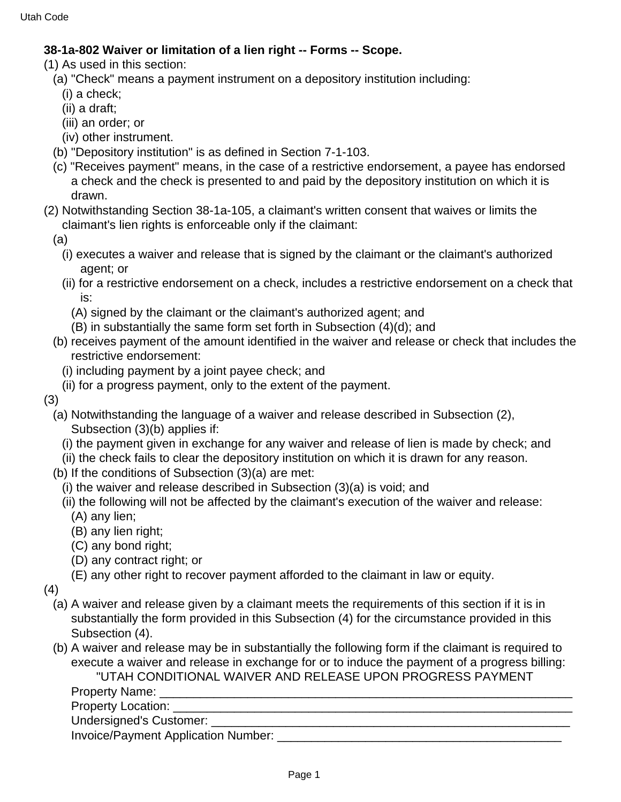## **38-1a-802 Waiver or limitation of a lien right -- Forms -- Scope.**

(1) As used in this section:

- (a) "Check" means a payment instrument on a depository institution including:
- (i) a check;
- (ii) a draft;
- (iii) an order; or
- (iv) other instrument.
- (b) "Depository institution" is as defined in Section 7-1-103.
- (c) "Receives payment" means, in the case of a restrictive endorsement, a payee has endorsed a check and the check is presented to and paid by the depository institution on which it is drawn.
- (2) Notwithstanding Section 38-1a-105, a claimant's written consent that waives or limits the claimant's lien rights is enforceable only if the claimant:
	- (a)
		- (i) executes a waiver and release that is signed by the claimant or the claimant's authorized agent; or
		- (ii) for a restrictive endorsement on a check, includes a restrictive endorsement on a check that is:
			- (A) signed by the claimant or the claimant's authorized agent; and
			- (B) in substantially the same form set forth in Subsection (4)(d); and
	- (b) receives payment of the amount identified in the waiver and release or check that includes the restrictive endorsement:
		- (i) including payment by a joint payee check; and
		- (ii) for a progress payment, only to the extent of the payment.
- (3)
	- (a) Notwithstanding the language of a waiver and release described in Subsection (2), Subsection (3)(b) applies if:
		- (i) the payment given in exchange for any waiver and release of lien is made by check; and
	- (ii) the check fails to clear the depository institution on which it is drawn for any reason.
	- (b) If the conditions of Subsection (3)(a) are met:
		- (i) the waiver and release described in Subsection (3)(a) is void; and
		- (ii) the following will not be affected by the claimant's execution of the waiver and release:
			- (A) any lien;
			- (B) any lien right;
			- (C) any bond right;
			- (D) any contract right; or
			- (E) any other right to recover payment afforded to the claimant in law or equity.
- (4)
	- (a) A waiver and release given by a claimant meets the requirements of this section if it is in substantially the form provided in this Subsection (4) for the circumstance provided in this Subsection (4).
	- (b) A waiver and release may be in substantially the following form if the claimant is required to execute a waiver and release in exchange for or to induce the payment of a progress billing:

"UTAH CONDITIONAL WAIVER AND RELEASE UPON PROGRESS PAYMENT

Property Name:

Property Location: **Example 2** and 2 and 2 and 2 and 2 and 2 and 2 and 2 and 2 and 2 and 2 and 2 and 2 and 2 and 2 and 2 and 2 and 2 and 2 and 2 and 2 and 2 and 2 and 2 and 2 and 2 and 2 and 2 and 2 and 2 and 2 and 2 and 2

Undersigned's Customer:

Invoice/Payment Application Number: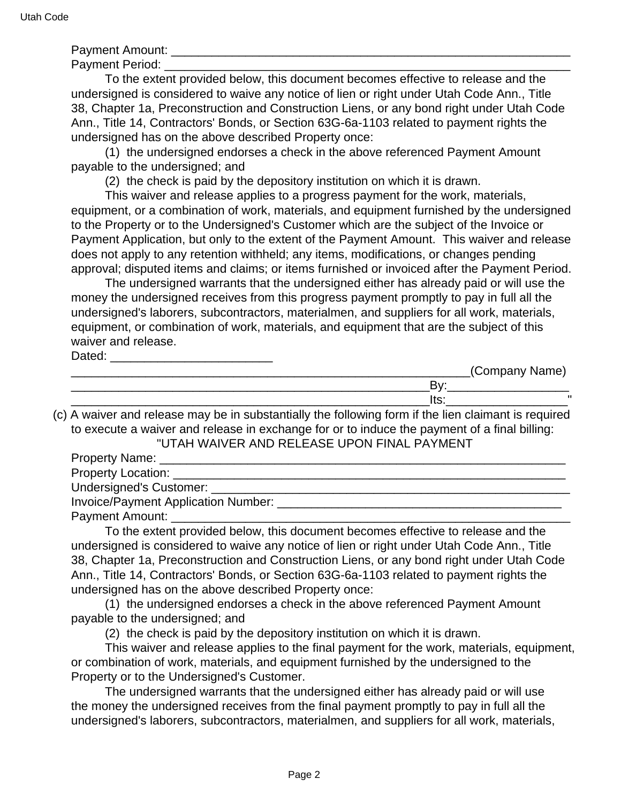Payment Amount:

Payment Period: **Example 20** 

 To the extent provided below, this document becomes effective to release and the undersigned is considered to waive any notice of lien or right under Utah Code Ann., Title 38, Chapter 1a, Preconstruction and Construction Liens, or any bond right under Utah Code Ann., Title 14, Contractors' Bonds, or Section 63G-6a-1103 related to payment rights the undersigned has on the above described Property once:

 (1) the undersigned endorses a check in the above referenced Payment Amount payable to the undersigned; and

(2) the check is paid by the depository institution on which it is drawn.

 This waiver and release applies to a progress payment for the work, materials, equipment, or a combination of work, materials, and equipment furnished by the undersigned to the Property or to the Undersigned's Customer which are the subject of the Invoice or Payment Application, but only to the extent of the Payment Amount. This waiver and release does not apply to any retention withheld; any items, modifications, or changes pending approval; disputed items and claims; or items furnished or invoiced after the Payment Period.

 The undersigned warrants that the undersigned either has already paid or will use the money the undersigned receives from this progress payment promptly to pay in full all the undersigned's laborers, subcontractors, materialmen, and suppliers for all work, materials, equipment, or combination of work, materials, and equipment that are the subject of this waiver and release.

Dated: \_\_\_\_\_\_\_\_\_\_\_\_\_\_\_\_\_\_\_\_\_\_\_\_

|        | _(Company Name) |
|--------|-----------------|
|        |                 |
| 1 L.J. | $\mathbf{u}$    |

(c) A waiver and release may be in substantially the following form if the lien claimant is required to execute a waiver and release in exchange for or to induce the payment of a final billing: "UTAH WAIVER AND RELEASE UPON FINAL PAYMENT

Property Name: Property Location: \_\_\_\_\_\_\_\_\_\_\_\_\_\_\_\_\_\_\_\_\_\_\_\_\_\_\_\_\_\_\_\_\_\_\_\_\_\_\_\_\_\_\_\_\_\_\_\_\_\_\_\_\_\_\_\_\_\_ Undersigned's Customer: \_\_\_\_\_\_\_\_\_\_\_\_\_\_\_\_\_\_\_\_\_\_\_\_\_\_\_\_\_\_\_\_\_\_\_\_\_\_\_\_\_\_\_\_\_\_\_\_\_\_\_\_\_ Invoice/Payment Application Number:

Payment Amount:

 To the extent provided below, this document becomes effective to release and the undersigned is considered to waive any notice of lien or right under Utah Code Ann., Title 38, Chapter 1a, Preconstruction and Construction Liens, or any bond right under Utah Code Ann., Title 14, Contractors' Bonds, or Section 63G-6a-1103 related to payment rights the undersigned has on the above described Property once:

 (1) the undersigned endorses a check in the above referenced Payment Amount payable to the undersigned; and

(2) the check is paid by the depository institution on which it is drawn.

 This waiver and release applies to the final payment for the work, materials, equipment, or combination of work, materials, and equipment furnished by the undersigned to the Property or to the Undersigned's Customer.

 The undersigned warrants that the undersigned either has already paid or will use the money the undersigned receives from the final payment promptly to pay in full all the undersigned's laborers, subcontractors, materialmen, and suppliers for all work, materials,